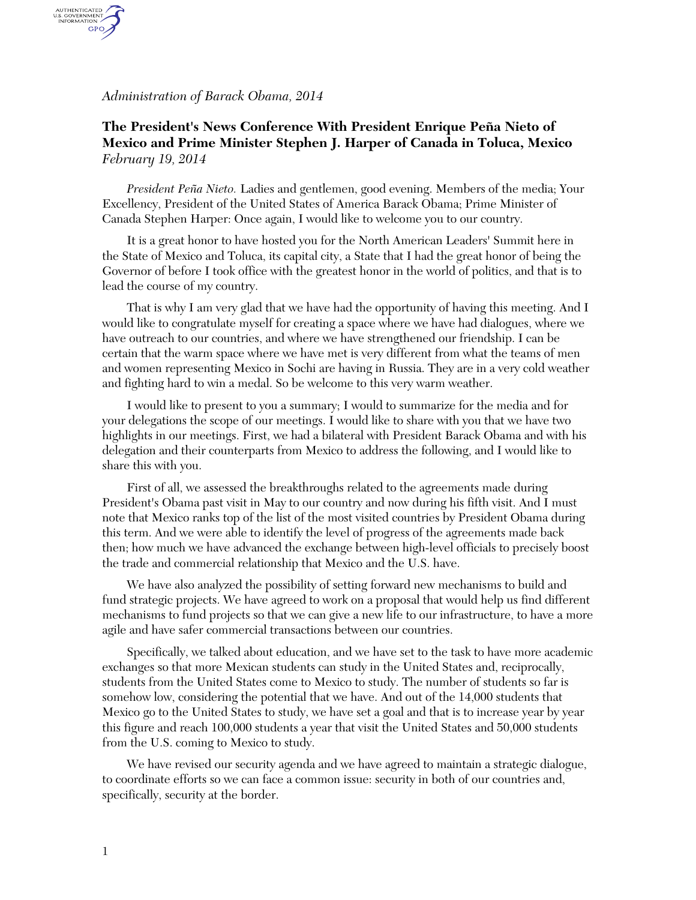*Administration of Barack Obama, 2014* 

AUTHENTICATED<br>U.S. GOVERNMENT<br>INFORMATION GPO.

# **The President's News Conference With President Enrique Peña Nieto of Mexico and Prime Minister Stephen J. Harper of Canada in Toluca, Mexico**  *February 19, 2014*

*President Peña Nieto.* Ladies and gentlemen, good evening. Members of the media; Your Excellency, President of the United States of America Barack Obama; Prime Minister of Canada Stephen Harper: Once again, I would like to welcome you to our country.

It is a great honor to have hosted you for the North American Leaders' Summit here in the State of Mexico and Toluca, its capital city, a State that I had the great honor of being the Governor of before I took office with the greatest honor in the world of politics, and that is to lead the course of my country.

That is why I am very glad that we have had the opportunity of having this meeting. And I would like to congratulate myself for creating a space where we have had dialogues, where we have outreach to our countries, and where we have strengthened our friendship. I can be certain that the warm space where we have met is very different from what the teams of men and women representing Mexico in Sochi are having in Russia. They are in a very cold weather and fighting hard to win a medal. So be welcome to this very warm weather.

I would like to present to you a summary; I would to summarize for the media and for your delegations the scope of our meetings. I would like to share with you that we have two highlights in our meetings. First, we had a bilateral with President Barack Obama and with his delegation and their counterparts from Mexico to address the following, and I would like to share this with you.

First of all, we assessed the breakthroughs related to the agreements made during President's Obama past visit in May to our country and now during his fifth visit. And I must note that Mexico ranks top of the list of the most visited countries by President Obama during this term. And we were able to identify the level of progress of the agreements made back then; how much we have advanced the exchange between high-level officials to precisely boost the trade and commercial relationship that Mexico and the U.S. have.

We have also analyzed the possibility of setting forward new mechanisms to build and fund strategic projects. We have agreed to work on a proposal that would help us find different mechanisms to fund projects so that we can give a new life to our infrastructure, to have a more agile and have safer commercial transactions between our countries.

Specifically, we talked about education, and we have set to the task to have more academic exchanges so that more Mexican students can study in the United States and, reciprocally, students from the United States come to Mexico to study. The number of students so far is somehow low, considering the potential that we have. And out of the 14,000 students that Mexico go to the United States to study, we have set a goal and that is to increase year by year this figure and reach 100,000 students a year that visit the United States and 50,000 students from the U.S. coming to Mexico to study.

We have revised our security agenda and we have agreed to maintain a strategic dialogue, to coordinate efforts so we can face a common issue: security in both of our countries and, specifically, security at the border.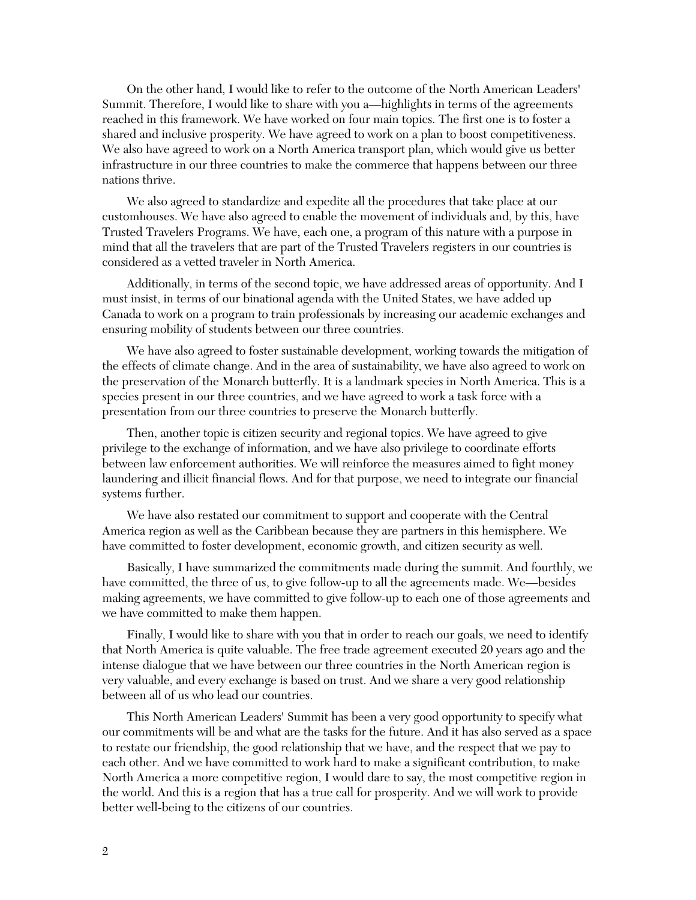On the other hand, I would like to refer to the outcome of the North American Leaders' Summit. Therefore, I would like to share with you a—highlights in terms of the agreements reached in this framework. We have worked on four main topics. The first one is to foster a shared and inclusive prosperity. We have agreed to work on a plan to boost competitiveness. We also have agreed to work on a North America transport plan, which would give us better infrastructure in our three countries to make the commerce that happens between our three nations thrive.

We also agreed to standardize and expedite all the procedures that take place at our customhouses. We have also agreed to enable the movement of individuals and, by this, have Trusted Travelers Programs. We have, each one, a program of this nature with a purpose in mind that all the travelers that are part of the Trusted Travelers registers in our countries is considered as a vetted traveler in North America.

Additionally, in terms of the second topic, we have addressed areas of opportunity. And I must insist, in terms of our binational agenda with the United States, we have added up Canada to work on a program to train professionals by increasing our academic exchanges and ensuring mobility of students between our three countries.

We have also agreed to foster sustainable development, working towards the mitigation of the effects of climate change. And in the area of sustainability, we have also agreed to work on the preservation of the Monarch butterfly. It is a landmark species in North America. This is a species present in our three countries, and we have agreed to work a task force with a presentation from our three countries to preserve the Monarch butterfly.

Then, another topic is citizen security and regional topics. We have agreed to give privilege to the exchange of information, and we have also privilege to coordinate efforts between law enforcement authorities. We will reinforce the measures aimed to fight money laundering and illicit financial flows. And for that purpose, we need to integrate our financial systems further.

We have also restated our commitment to support and cooperate with the Central America region as well as the Caribbean because they are partners in this hemisphere. We have committed to foster development, economic growth, and citizen security as well.

Basically, I have summarized the commitments made during the summit. And fourthly, we have committed, the three of us, to give follow-up to all the agreements made. We—besides making agreements, we have committed to give follow-up to each one of those agreements and we have committed to make them happen.

Finally, I would like to share with you that in order to reach our goals, we need to identify that North America is quite valuable. The free trade agreement executed 20 years ago and the intense dialogue that we have between our three countries in the North American region is very valuable, and every exchange is based on trust. And we share a very good relationship between all of us who lead our countries.

This North American Leaders' Summit has been a very good opportunity to specify what our commitments will be and what are the tasks for the future. And it has also served as a space to restate our friendship, the good relationship that we have, and the respect that we pay to each other. And we have committed to work hard to make a significant contribution, to make North America a more competitive region, I would dare to say, the most competitive region in the world. And this is a region that has a true call for prosperity. And we will work to provide better well-being to the citizens of our countries.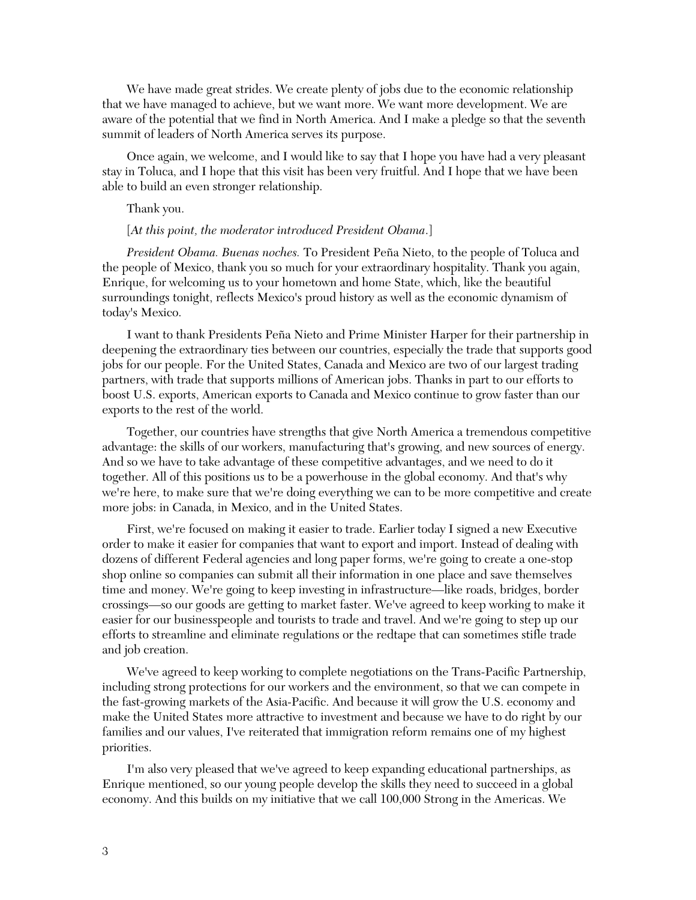We have made great strides. We create plenty of jobs due to the economic relationship that we have managed to achieve, but we want more. We want more development. We are aware of the potential that we find in North America. And I make a pledge so that the seventh summit of leaders of North America serves its purpose.

Once again, we welcome, and I would like to say that I hope you have had a very pleasant stay in Toluca, and I hope that this visit has been very fruitful. And I hope that we have been able to build an even stronger relationship.

#### Thank you.

### [*At this point, the moderator introduced President Obama*.]

*President Obama. Buenas noches.* To President Peña Nieto, to the people of Toluca and the people of Mexico, thank you so much for your extraordinary hospitality. Thank you again, Enrique, for welcoming us to your hometown and home State, which, like the beautiful surroundings tonight, reflects Mexico's proud history as well as the economic dynamism of today's Mexico.

I want to thank Presidents Peña Nieto and Prime Minister Harper for their partnership in deepening the extraordinary ties between our countries, especially the trade that supports good jobs for our people. For the United States, Canada and Mexico are two of our largest trading partners, with trade that supports millions of American jobs. Thanks in part to our efforts to boost U.S. exports, American exports to Canada and Mexico continue to grow faster than our exports to the rest of the world.

Together, our countries have strengths that give North America a tremendous competitive advantage: the skills of our workers, manufacturing that's growing, and new sources of energy. And so we have to take advantage of these competitive advantages, and we need to do it together. All of this positions us to be a powerhouse in the global economy. And that's why we're here, to make sure that we're doing everything we can to be more competitive and create more jobs: in Canada, in Mexico, and in the United States.

First, we're focused on making it easier to trade. Earlier today I signed a new Executive order to make it easier for companies that want to export and import. Instead of dealing with dozens of different Federal agencies and long paper forms, we're going to create a one-stop shop online so companies can submit all their information in one place and save themselves time and money. We're going to keep investing in infrastructure—like roads, bridges, border crossings—so our goods are getting to market faster. We've agreed to keep working to make it easier for our businesspeople and tourists to trade and travel. And we're going to step up our efforts to streamline and eliminate regulations or the redtape that can sometimes stifle trade and job creation.

We've agreed to keep working to complete negotiations on the Trans-Pacific Partnership, including strong protections for our workers and the environment, so that we can compete in the fast-growing markets of the Asia-Pacific. And because it will grow the U.S. economy and make the United States more attractive to investment and because we have to do right by our families and our values, I've reiterated that immigration reform remains one of my highest priorities.

I'm also very pleased that we've agreed to keep expanding educational partnerships, as Enrique mentioned, so our young people develop the skills they need to succeed in a global economy. And this builds on my initiative that we call 100,000 Strong in the Americas. We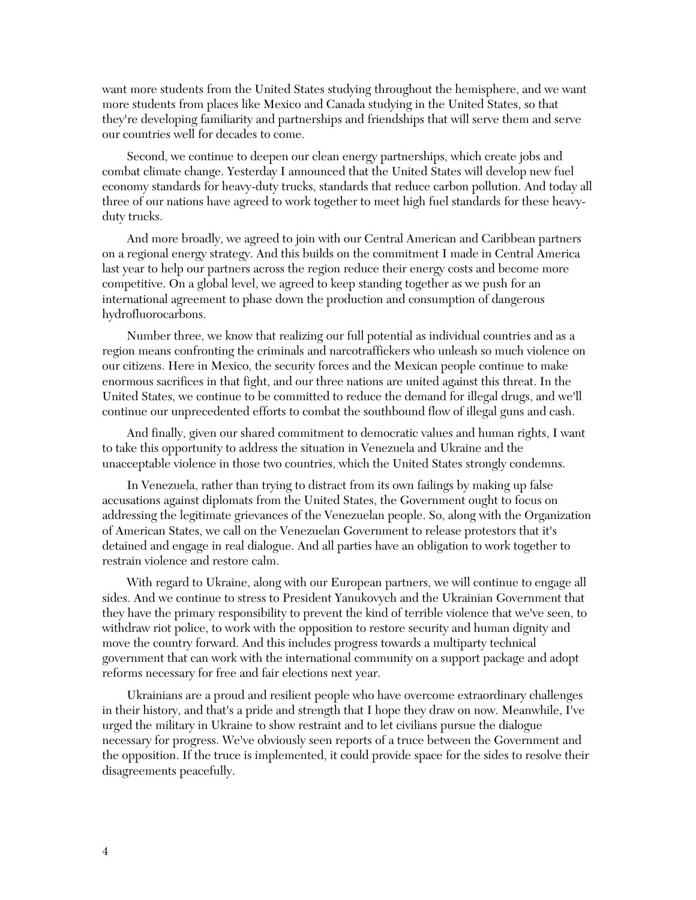want more students from the United States studying throughout the hemisphere, and we want more students from places like Mexico and Canada studying in the United States, so that they're developing familiarity and partnerships and friendships that will serve them and serve our countries well for decades to come.

Second, we continue to deepen our clean energy partnerships, which create jobs and combat climate change. Yesterday I announced that the United States will develop new fuel economy standards for heavy-duty trucks, standards that reduce carbon pollution. And today all three of our nations have agreed to work together to meet high fuel standards for these heavyduty trucks.

And more broadly, we agreed to join with our Central American and Caribbean partners on a regional energy strategy. And this builds on the commitment I made in Central America last year to help our partners across the region reduce their energy costs and become more competitive. On a global level, we agreed to keep standing together as we push for an international agreement to phase down the production and consumption of dangerous hydrofluorocarbons.

Number three, we know that realizing our full potential as individual countries and as a region means confronting the criminals and narcotraffickers who unleash so much violence on our citizens. Here in Mexico, the security forces and the Mexican people continue to make enormous sacrifices in that fight, and our three nations are united against this threat. In the United States, we continue to be committed to reduce the demand for illegal drugs, and we'll continue our unprecedented efforts to combat the southbound flow of illegal guns and cash.

And finally, given our shared commitment to democratic values and human rights, I want to take this opportunity to address the situation in Venezuela and Ukraine and the unacceptable violence in those two countries, which the United States strongly condemns.

In Venezuela, rather than trying to distract from its own failings by making up false accusations against diplomats from the United States, the Government ought to focus on addressing the legitimate grievances of the Venezuelan people. So, along with the Organization of American States, we call on the Venezuelan Government to release protestors that it's detained and engage in real dialogue. And all parties have an obligation to work together to restrain violence and restore calm.

With regard to Ukraine, along with our European partners, we will continue to engage all sides. And we continue to stress to President Yanukovych and the Ukrainian Government that they have the primary responsibility to prevent the kind of terrible violence that we've seen, to withdraw riot police, to work with the opposition to restore security and human dignity and move the country forward. And this includes progress towards a multiparty technical government that can work with the international community on a support package and adopt reforms necessary for free and fair elections next year.

Ukrainians are a proud and resilient people who have overcome extraordinary challenges in their history, and that's a pride and strength that I hope they draw on now. Meanwhile, I've urged the military in Ukraine to show restraint and to let civilians pursue the dialogue necessary for progress. We've obviously seen reports of a truce between the Government and the opposition. If the truce is implemented, it could provide space for the sides to resolve their disagreements peacefully.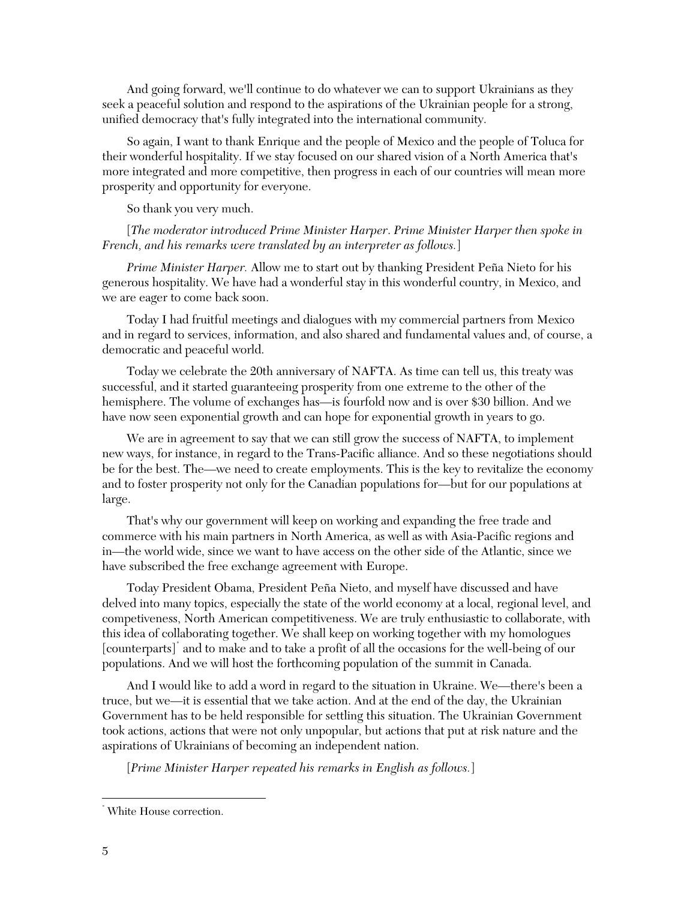And going forward, we'll continue to do whatever we can to support Ukrainians as they seek a peaceful solution and respond to the aspirations of the Ukrainian people for a strong, unified democracy that's fully integrated into the international community.

So again, I want to thank Enrique and the people of Mexico and the people of Toluca for their wonderful hospitality. If we stay focused on our shared vision of a North America that's more integrated and more competitive, then progress in each of our countries will mean more prosperity and opportunity for everyone.

So thank you very much.

[*The moderator introduced Prime Minister Harper*. *Prime Minister Harper then spoke in French, and his remarks were translated by an interpreter as follows.*]

*Prime Minister Harper.* Allow me to start out by thanking President Peña Nieto for his generous hospitality. We have had a wonderful stay in this wonderful country, in Mexico, and we are eager to come back soon.

Today I had fruitful meetings and dialogues with my commercial partners from Mexico and in regard to services, information, and also shared and fundamental values and, of course, a democratic and peaceful world.

Today we celebrate the 20th anniversary of NAFTA. As time can tell us, this treaty was successful, and it started guaranteeing prosperity from one extreme to the other of the hemisphere. The volume of exchanges has—is fourfold now and is over \$30 billion. And we have now seen exponential growth and can hope for exponential growth in years to go.

We are in agreement to say that we can still grow the success of NAFTA, to implement new ways, for instance, in regard to the Trans-Pacific alliance. And so these negotiations should be for the best. The—we need to create employments. This is the key to revitalize the economy and to foster prosperity not only for the Canadian populations for—but for our populations at large.

That's why our government will keep on working and expanding the free trade and commerce with his main partners in North America, as well as with Asia-Pacific regions and in—the world wide, since we want to have access on the other side of the Atlantic, since we have subscribed the free exchange agreement with Europe.

Today President Obama, President Peña Nieto, and myself have discussed and have delved into many topics, especially the state of the world economy at a local, regional level, and competiveness, North American competitiveness. We are truly enthusiastic to collaborate, with this idea of collaborating together. We shall keep on working together with my homologues [counterparts]<sup>[\\*](#page-5-0)</sup> and to make and to take a profit of all the occasions for the well-being of our populations. And we will host the forthcoming population of the summit in Canada.

And I would like to add a word in regard to the situation in Ukraine. We—there's been a truce, but we—it is essential that we take action. And at the end of the day, the Ukrainian Government has to be held responsible for settling this situation. The Ukrainian Government took actions, actions that were not only unpopular, but actions that put at risk nature and the aspirations of Ukrainians of becoming an independent nation.

[*Prime Minister Harper repeated his remarks in English as follows.*]

 $\overline{a}$ 

<sup>\*</sup> White House correction.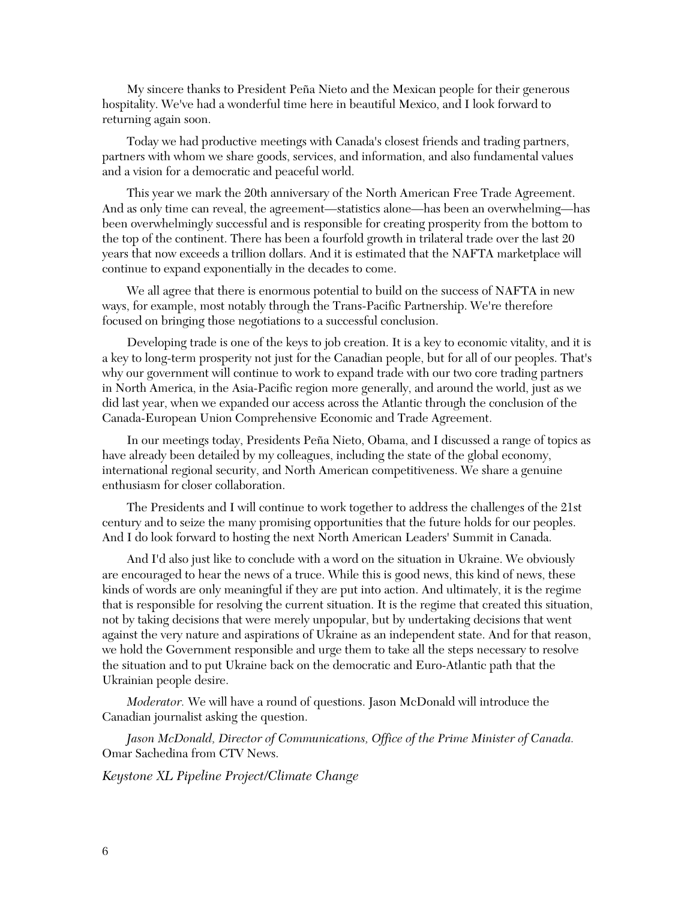My sincere thanks to President Peña Nieto and the Mexican people for their generous hospitality. We've had a wonderful time here in beautiful Mexico, and I look forward to returning again soon.

Today we had productive meetings with Canada's closest friends and trading partners, partners with whom we share goods, services, and information, and also fundamental values and a vision for a democratic and peaceful world.

This year we mark the 20th anniversary of the North American Free Trade Agreement. And as only time can reveal, the agreement—statistics alone—has been an overwhelming—has been overwhelmingly successful and is responsible for creating prosperity from the bottom to the top of the continent. There has been a fourfold growth in trilateral trade over the last 20 years that now exceeds a trillion dollars. And it is estimated that the NAFTA marketplace will continue to expand exponentially in the decades to come.

We all agree that there is enormous potential to build on the success of NAFTA in new ways, for example, most notably through the Trans-Pacific Partnership. We're therefore focused on bringing those negotiations to a successful conclusion.

Developing trade is one of the keys to job creation. It is a key to economic vitality, and it is a key to long-term prosperity not just for the Canadian people, but for all of our peoples. That's why our government will continue to work to expand trade with our two core trading partners in North America, in the Asia-Pacific region more generally, and around the world, just as we did last year, when we expanded our access across the Atlantic through the conclusion of the Canada-European Union Comprehensive Economic and Trade Agreement.

In our meetings today, Presidents Peña Nieto, Obama, and I discussed a range of topics as have already been detailed by my colleagues, including the state of the global economy, international regional security, and North American competitiveness. We share a genuine enthusiasm for closer collaboration.

The Presidents and I will continue to work together to address the challenges of the 21st century and to seize the many promising opportunities that the future holds for our peoples. And I do look forward to hosting the next North American Leaders' Summit in Canada.

And I'd also just like to conclude with a word on the situation in Ukraine. We obviously are encouraged to hear the news of a truce. While this is good news, this kind of news, these kinds of words are only meaningful if they are put into action. And ultimately, it is the regime that is responsible for resolving the current situation. It is the regime that created this situation, not by taking decisions that were merely unpopular, but by undertaking decisions that went against the very nature and aspirations of Ukraine as an independent state. And for that reason, we hold the Government responsible and urge them to take all the steps necessary to resolve the situation and to put Ukraine back on the democratic and Euro-Atlantic path that the Ukrainian people desire.

*Moderator.* We will have a round of questions. Jason McDonald will introduce the Canadian journalist asking the question.

*Jason McDonald, Director of Communications, Office of the Prime Minister of Canada.* Omar Sachedina from CTV News.

<span id="page-5-0"></span>*Keystone XL Pipeline Project/Climate Change*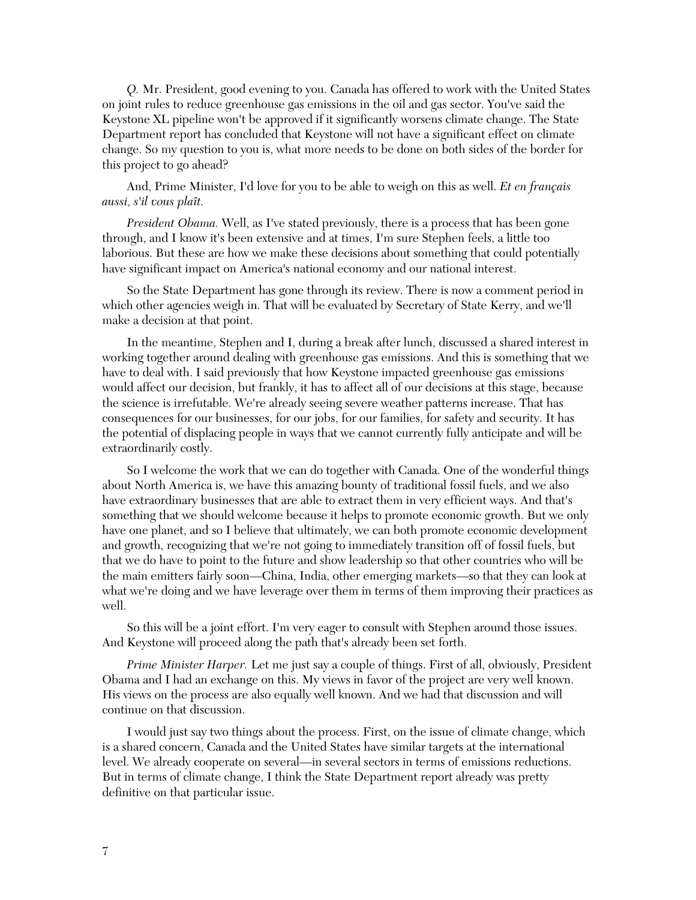*Q.* Mr. President, good evening to you. Canada has offered to work with the United States on joint rules to reduce greenhouse gas emissions in the oil and gas sector. You've said the Keystone XL pipeline won't be approved if it significantly worsens climate change. The State Department report has concluded that Keystone will not have a significant effect on climate change. So my question to you is, what more needs to be done on both sides of the border for this project to go ahead?

And, Prime Minister, I'd love for you to be able to weigh on this as well. *Et en français aussi, s'il vous plaît.*

*President Obama.* Well, as I've stated previously, there is a process that has been gone through, and I know it's been extensive and at times, I'm sure Stephen feels, a little too laborious. But these are how we make these decisions about something that could potentially have significant impact on America's national economy and our national interest.

So the State Department has gone through its review. There is now a comment period in which other agencies weigh in. That will be evaluated by Secretary of State Kerry, and we'll make a decision at that point.

In the meantime, Stephen and I, during a break after lunch, discussed a shared interest in working together around dealing with greenhouse gas emissions. And this is something that we have to deal with. I said previously that how Keystone impacted greenhouse gas emissions would affect our decision, but frankly, it has to affect all of our decisions at this stage, because the science is irrefutable. We're already seeing severe weather patterns increase. That has consequences for our businesses, for our jobs, for our families, for safety and security. It has the potential of displacing people in ways that we cannot currently fully anticipate and will be extraordinarily costly.

So I welcome the work that we can do together with Canada. One of the wonderful things about North America is, we have this amazing bounty of traditional fossil fuels, and we also have extraordinary businesses that are able to extract them in very efficient ways. And that's something that we should welcome because it helps to promote economic growth. But we only have one planet, and so I believe that ultimately, we can both promote economic development and growth, recognizing that we're not going to immediately transition off of fossil fuels, but that we do have to point to the future and show leadership so that other countries who will be the main emitters fairly soon—China, India, other emerging markets—so that they can look at what we're doing and we have leverage over them in terms of them improving their practices as well.

So this will be a joint effort. I'm very eager to consult with Stephen around those issues. And Keystone will proceed along the path that's already been set forth.

*Prime Minister Harper.* Let me just say a couple of things. First of all, obviously, President Obama and I had an exchange on this. My views in favor of the project are very well known. His views on the process are also equally well known. And we had that discussion and will continue on that discussion.

I would just say two things about the process. First, on the issue of climate change, which is a shared concern, Canada and the United States have similar targets at the international level. We already cooperate on several—in several sectors in terms of emissions reductions. But in terms of climate change, I think the State Department report already was pretty definitive on that particular issue.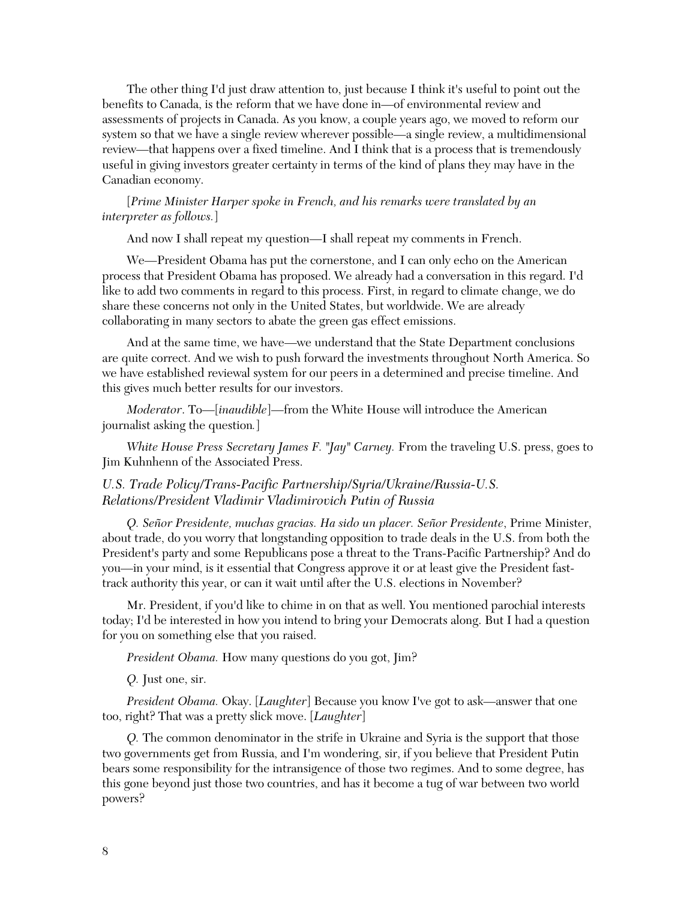The other thing I'd just draw attention to, just because I think it's useful to point out the benefits to Canada, is the reform that we have done in—of environmental review and assessments of projects in Canada. As you know, a couple years ago, we moved to reform our system so that we have a single review wherever possible—a single review, a multidimensional review—that happens over a fixed timeline. And I think that is a process that is tremendously useful in giving investors greater certainty in terms of the kind of plans they may have in the Canadian economy.

[*Prime Minister Harper spoke in French, and his remarks were translated by an interpreter as follows.*]

And now I shall repeat my question—I shall repeat my comments in French.

We—President Obama has put the cornerstone, and I can only echo on the American process that President Obama has proposed. We already had a conversation in this regard. I'd like to add two comments in regard to this process. First, in regard to climate change, we do share these concerns not only in the United States, but worldwide. We are already collaborating in many sectors to abate the green gas effect emissions.

And at the same time, we have—we understand that the State Department conclusions are quite correct. And we wish to push forward the investments throughout North America. So we have established reviewal system for our peers in a determined and precise timeline. And this gives much better results for our investors.

*Moderator*. To—[*inaudible*]—from the White House will introduce the American journalist asking the question*.*]

*White House Press Secretary James F. "Jay" Carney.* From the traveling U.S. press, goes to Jim Kuhnhenn of the Associated Press.

*U.S. Trade Policy/Trans-Pacific Partnership/Syria/Ukraine/Russia-U.S. Relations/President Vladimir Vladimirovich Putin of Russia* 

*Q. Señor Presidente, muchas gracias. Ha sido un placer. Señor Presidente*, Prime Minister, about trade, do you worry that longstanding opposition to trade deals in the U.S. from both the President's party and some Republicans pose a threat to the Trans-Pacific Partnership? And do you—in your mind, is it essential that Congress approve it or at least give the President fasttrack authority this year, or can it wait until after the U.S. elections in November?

Mr. President, if you'd like to chime in on that as well. You mentioned parochial interests today; I'd be interested in how you intend to bring your Democrats along. But I had a question for you on something else that you raised.

*President Obama.* How many questions do you got, Jim?

*Q.* Just one, sir.

*President Obama.* Okay. [*Laughter*] Because you know I've got to ask—answer that one too, right? That was a pretty slick move. [*Laughter*]

*Q.* The common denominator in the strife in Ukraine and Syria is the support that those two governments get from Russia, and I'm wondering, sir, if you believe that President Putin bears some responsibility for the intransigence of those two regimes. And to some degree, has this gone beyond just those two countries, and has it become a tug of war between two world powers?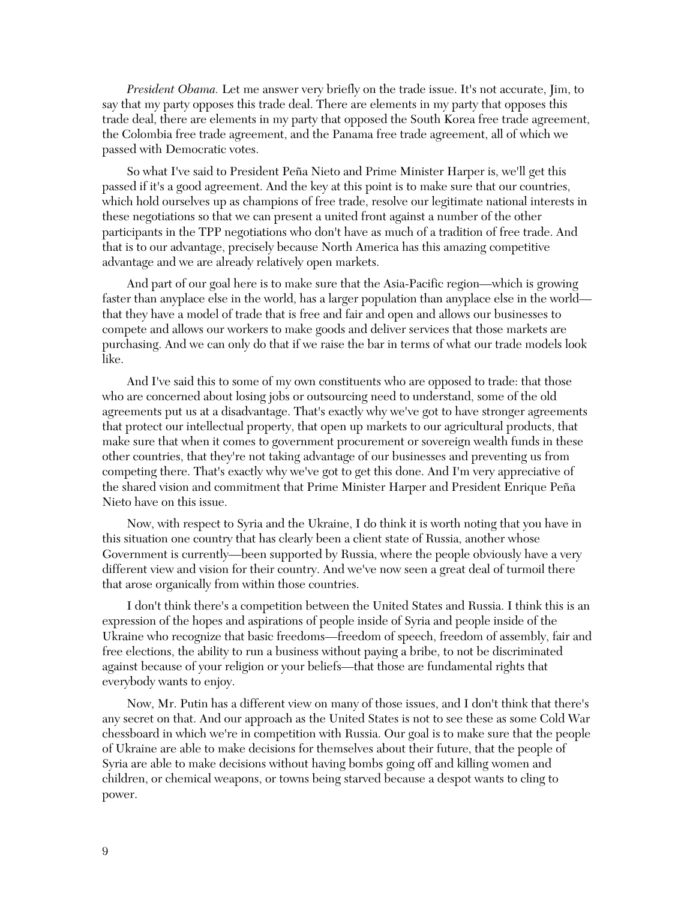*President Obama.* Let me answer very briefly on the trade issue. It's not accurate, Jim, to say that my party opposes this trade deal. There are elements in my party that opposes this trade deal, there are elements in my party that opposed the South Korea free trade agreement, the Colombia free trade agreement, and the Panama free trade agreement, all of which we passed with Democratic votes.

So what I've said to President Peña Nieto and Prime Minister Harper is, we'll get this passed if it's a good agreement. And the key at this point is to make sure that our countries, which hold ourselves up as champions of free trade, resolve our legitimate national interests in these negotiations so that we can present a united front against a number of the other participants in the TPP negotiations who don't have as much of a tradition of free trade. And that is to our advantage, precisely because North America has this amazing competitive advantage and we are already relatively open markets.

And part of our goal here is to make sure that the Asia-Pacific region—which is growing faster than anyplace else in the world, has a larger population than anyplace else in the world that they have a model of trade that is free and fair and open and allows our businesses to compete and allows our workers to make goods and deliver services that those markets are purchasing. And we can only do that if we raise the bar in terms of what our trade models look like.

And I've said this to some of my own constituents who are opposed to trade: that those who are concerned about losing jobs or outsourcing need to understand, some of the old agreements put us at a disadvantage. That's exactly why we've got to have stronger agreements that protect our intellectual property, that open up markets to our agricultural products, that make sure that when it comes to government procurement or sovereign wealth funds in these other countries, that they're not taking advantage of our businesses and preventing us from competing there. That's exactly why we've got to get this done. And I'm very appreciative of the shared vision and commitment that Prime Minister Harper and President Enrique Peña Nieto have on this issue.

Now, with respect to Syria and the Ukraine, I do think it is worth noting that you have in this situation one country that has clearly been a client state of Russia, another whose Government is currently—been supported by Russia, where the people obviously have a very different view and vision for their country. And we've now seen a great deal of turmoil there that arose organically from within those countries.

I don't think there's a competition between the United States and Russia. I think this is an expression of the hopes and aspirations of people inside of Syria and people inside of the Ukraine who recognize that basic freedoms—freedom of speech, freedom of assembly, fair and free elections, the ability to run a business without paying a bribe, to not be discriminated against because of your religion or your beliefs—that those are fundamental rights that everybody wants to enjoy.

Now, Mr. Putin has a different view on many of those issues, and I don't think that there's any secret on that. And our approach as the United States is not to see these as some Cold War chessboard in which we're in competition with Russia. Our goal is to make sure that the people of Ukraine are able to make decisions for themselves about their future, that the people of Syria are able to make decisions without having bombs going off and killing women and children, or chemical weapons, or towns being starved because a despot wants to cling to power.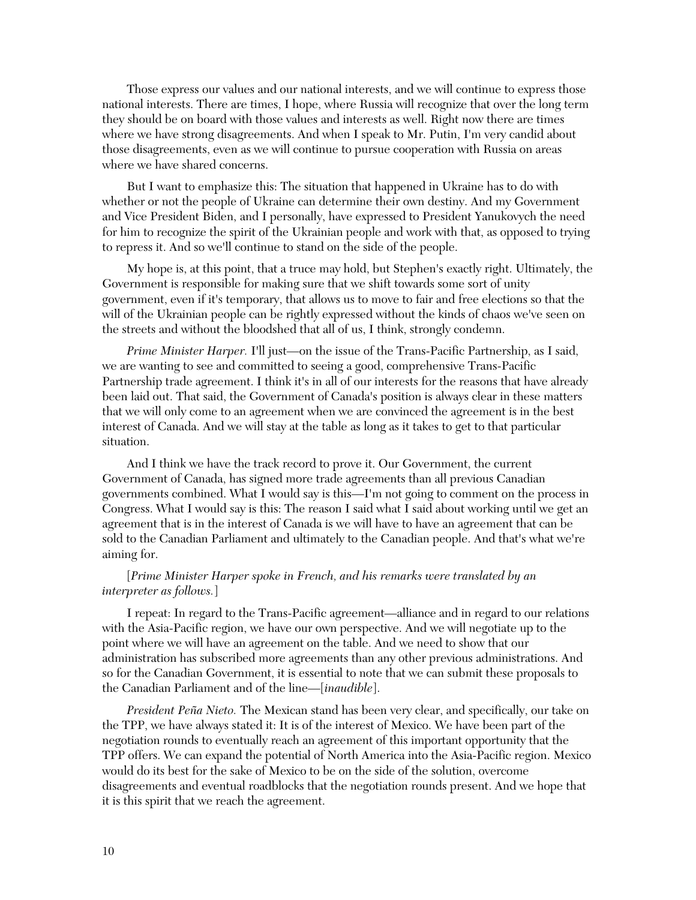Those express our values and our national interests, and we will continue to express those national interests. There are times, I hope, where Russia will recognize that over the long term they should be on board with those values and interests as well. Right now there are times where we have strong disagreements. And when I speak to Mr. Putin, I'm very candid about those disagreements, even as we will continue to pursue cooperation with Russia on areas where we have shared concerns.

But I want to emphasize this: The situation that happened in Ukraine has to do with whether or not the people of Ukraine can determine their own destiny. And my Government and Vice President Biden, and I personally, have expressed to President Yanukovych the need for him to recognize the spirit of the Ukrainian people and work with that, as opposed to trying to repress it. And so we'll continue to stand on the side of the people.

My hope is, at this point, that a truce may hold, but Stephen's exactly right. Ultimately, the Government is responsible for making sure that we shift towards some sort of unity government, even if it's temporary, that allows us to move to fair and free elections so that the will of the Ukrainian people can be rightly expressed without the kinds of chaos we've seen on the streets and without the bloodshed that all of us, I think, strongly condemn.

*Prime Minister Harper.* I'll just—on the issue of the Trans-Pacific Partnership, as I said, we are wanting to see and committed to seeing a good, comprehensive Trans-Pacific Partnership trade agreement. I think it's in all of our interests for the reasons that have already been laid out. That said, the Government of Canada's position is always clear in these matters that we will only come to an agreement when we are convinced the agreement is in the best interest of Canada. And we will stay at the table as long as it takes to get to that particular situation.

And I think we have the track record to prove it. Our Government, the current Government of Canada, has signed more trade agreements than all previous Canadian governments combined. What I would say is this—I'm not going to comment on the process in Congress. What I would say is this: The reason I said what I said about working until we get an agreement that is in the interest of Canada is we will have to have an agreement that can be sold to the Canadian Parliament and ultimately to the Canadian people. And that's what we're aiming for.

## [*Prime Minister Harper spoke in French, and his remarks were translated by an interpreter as follows.*]

I repeat: In regard to the Trans-Pacific agreement—alliance and in regard to our relations with the Asia-Pacific region, we have our own perspective. And we will negotiate up to the point where we will have an agreement on the table. And we need to show that our administration has subscribed more agreements than any other previous administrations. And so for the Canadian Government, it is essential to note that we can submit these proposals to the Canadian Parliament and of the line—[*inaudible*].

*President Peña Nieto.* The Mexican stand has been very clear, and specifically, our take on the TPP, we have always stated it: It is of the interest of Mexico. We have been part of the negotiation rounds to eventually reach an agreement of this important opportunity that the TPP offers. We can expand the potential of North America into the Asia-Pacific region. Mexico would do its best for the sake of Mexico to be on the side of the solution, overcome disagreements and eventual roadblocks that the negotiation rounds present. And we hope that it is this spirit that we reach the agreement.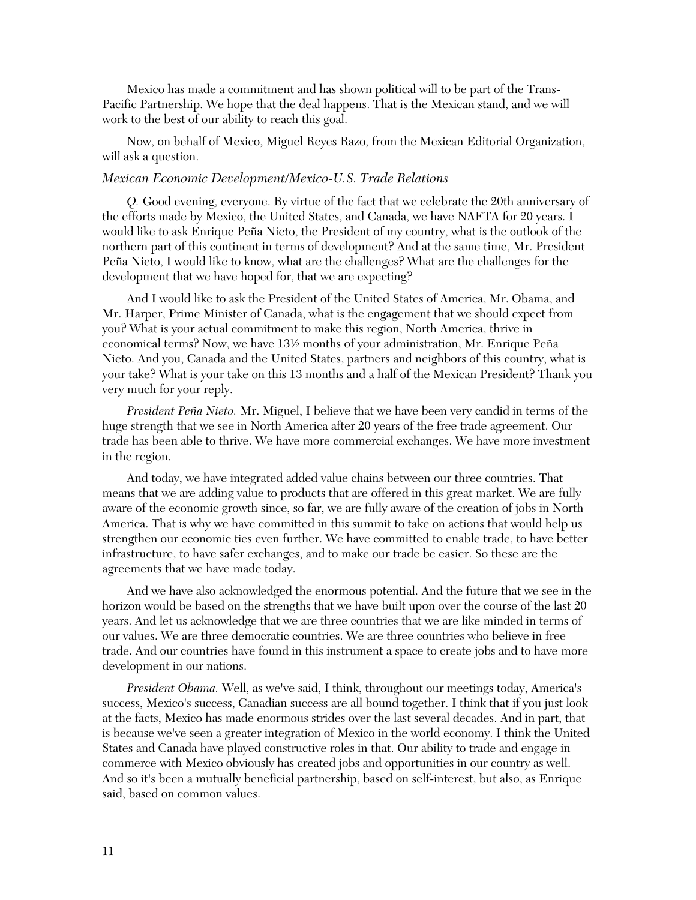Mexico has made a commitment and has shown political will to be part of the Trans-Pacific Partnership. We hope that the deal happens. That is the Mexican stand, and we will work to the best of our ability to reach this goal.

Now, on behalf of Mexico, Miguel Reyes Razo, from the Mexican Editorial Organization, will ask a question.

### *Mexican Economic Development/Mexico-U.S. Trade Relations*

*Q.* Good evening, everyone. By virtue of the fact that we celebrate the 20th anniversary of the efforts made by Mexico, the United States, and Canada, we have NAFTA for 20 years. I would like to ask Enrique Peña Nieto, the President of my country, what is the outlook of the northern part of this continent in terms of development? And at the same time, Mr. President Peña Nieto, I would like to know, what are the challenges? What are the challenges for the development that we have hoped for, that we are expecting?

And I would like to ask the President of the United States of America, Mr. Obama, and Mr. Harper, Prime Minister of Canada, what is the engagement that we should expect from you? What is your actual commitment to make this region, North America, thrive in economical terms? Now, we have 13½ months of your administration, Mr. Enrique Peña Nieto. And you, Canada and the United States, partners and neighbors of this country, what is your take? What is your take on this 13 months and a half of the Mexican President? Thank you very much for your reply.

*President Peña Nieto.* Mr. Miguel, I believe that we have been very candid in terms of the huge strength that we see in North America after 20 years of the free trade agreement. Our trade has been able to thrive. We have more commercial exchanges. We have more investment in the region.

And today, we have integrated added value chains between our three countries. That means that we are adding value to products that are offered in this great market. We are fully aware of the economic growth since, so far, we are fully aware of the creation of jobs in North America. That is why we have committed in this summit to take on actions that would help us strengthen our economic ties even further. We have committed to enable trade, to have better infrastructure, to have safer exchanges, and to make our trade be easier. So these are the agreements that we have made today.

And we have also acknowledged the enormous potential. And the future that we see in the horizon would be based on the strengths that we have built upon over the course of the last 20 years. And let us acknowledge that we are three countries that we are like minded in terms of our values. We are three democratic countries. We are three countries who believe in free trade. And our countries have found in this instrument a space to create jobs and to have more development in our nations.

*President Obama.* Well, as we've said, I think, throughout our meetings today, America's success, Mexico's success, Canadian success are all bound together. I think that if you just look at the facts, Mexico has made enormous strides over the last several decades. And in part, that is because we've seen a greater integration of Mexico in the world economy. I think the United States and Canada have played constructive roles in that. Our ability to trade and engage in commerce with Mexico obviously has created jobs and opportunities in our country as well. And so it's been a mutually beneficial partnership, based on self-interest, but also, as Enrique said, based on common values.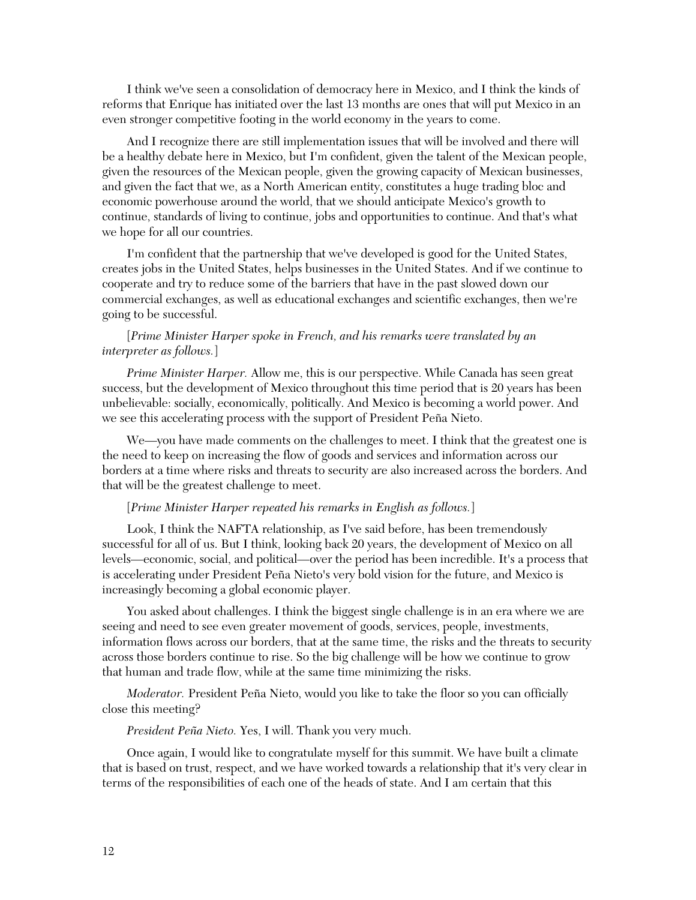I think we've seen a consolidation of democracy here in Mexico, and I think the kinds of reforms that Enrique has initiated over the last 13 months are ones that will put Mexico in an even stronger competitive footing in the world economy in the years to come.

And I recognize there are still implementation issues that will be involved and there will be a healthy debate here in Mexico, but I'm confident, given the talent of the Mexican people, given the resources of the Mexican people, given the growing capacity of Mexican businesses, and given the fact that we, as a North American entity, constitutes a huge trading bloc and economic powerhouse around the world, that we should anticipate Mexico's growth to continue, standards of living to continue, jobs and opportunities to continue. And that's what we hope for all our countries.

I'm confident that the partnership that we've developed is good for the United States, creates jobs in the United States, helps businesses in the United States. And if we continue to cooperate and try to reduce some of the barriers that have in the past slowed down our commercial exchanges, as well as educational exchanges and scientific exchanges, then we're going to be successful.

### [*Prime Minister Harper spoke in French, and his remarks were translated by an interpreter as follows.*]

*Prime Minister Harper.* Allow me, this is our perspective. While Canada has seen great success, but the development of Mexico throughout this time period that is 20 years has been unbelievable: socially, economically, politically. And Mexico is becoming a world power. And we see this accelerating process with the support of President Peña Nieto.

We—you have made comments on the challenges to meet. I think that the greatest one is the need to keep on increasing the flow of goods and services and information across our borders at a time where risks and threats to security are also increased across the borders. And that will be the greatest challenge to meet.

### [*Prime Minister Harper repeated his remarks in English as follows.*]

Look, I think the NAFTA relationship, as I've said before, has been tremendously successful for all of us. But I think, looking back 20 years, the development of Mexico on all levels—economic, social, and political—over the period has been incredible. It's a process that is accelerating under President Peña Nieto's very bold vision for the future, and Mexico is increasingly becoming a global economic player.

You asked about challenges. I think the biggest single challenge is in an era where we are seeing and need to see even greater movement of goods, services, people, investments, information flows across our borders, that at the same time, the risks and the threats to security across those borders continue to rise. So the big challenge will be how we continue to grow that human and trade flow, while at the same time minimizing the risks.

*Moderator.* President Peña Nieto, would you like to take the floor so you can officially close this meeting?

*President Peña Nieto.* Yes, I will. Thank you very much.

Once again, I would like to congratulate myself for this summit. We have built a climate that is based on trust, respect, and we have worked towards a relationship that it's very clear in terms of the responsibilities of each one of the heads of state. And I am certain that this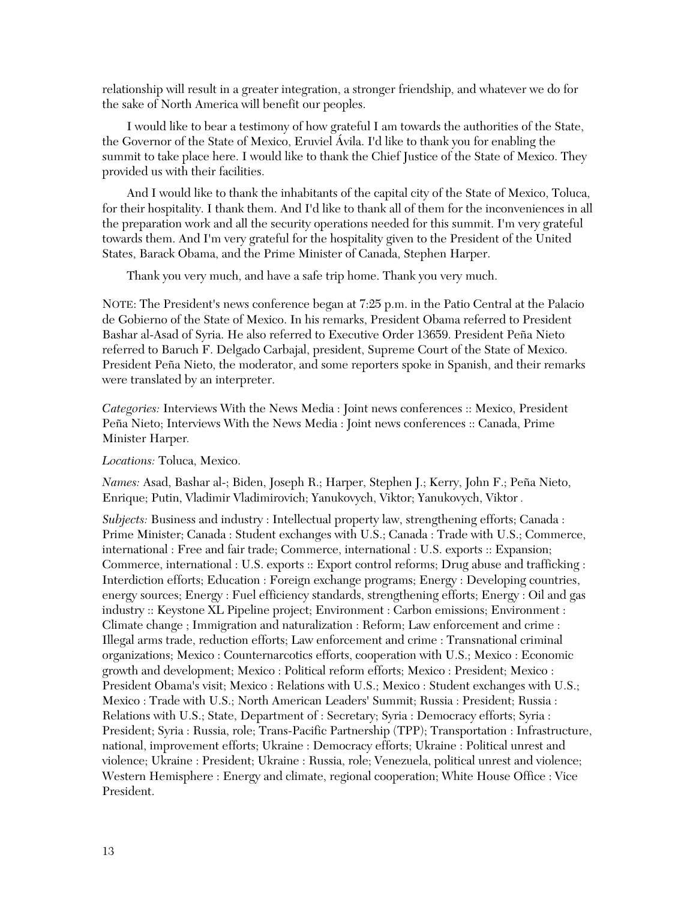relationship will result in a greater integration, a stronger friendship, and whatever we do for the sake of North America will benefit our peoples.

I would like to bear a testimony of how grateful I am towards the authorities of the State, the Governor of the State of Mexico, Eruviel Ávila. I'd like to thank you for enabling the summit to take place here. I would like to thank the Chief Justice of the State of Mexico. They provided us with their facilities.

And I would like to thank the inhabitants of the capital city of the State of Mexico, Toluca, for their hospitality. I thank them. And I'd like to thank all of them for the inconveniences in all the preparation work and all the security operations needed for this summit. I'm very grateful towards them. And I'm very grateful for the hospitality given to the President of the United States, Barack Obama, and the Prime Minister of Canada, Stephen Harper.

Thank you very much, and have a safe trip home. Thank you very much.

NOTE: The President's news conference began at 7:25 p.m. in the Patio Central at the Palacio de Gobierno of the State of Mexico. In his remarks, President Obama referred to President Bashar al-Asad of Syria. He also referred to Executive Order 13659. President Peña Nieto referred to Baruch F. Delgado Carbajal, president, Supreme Court of the State of Mexico. President Peña Nieto, the moderator, and some reporters spoke in Spanish, and their remarks were translated by an interpreter.

*Categories:* Interviews With the News Media : Joint news conferences :: Mexico, President Peña Nieto; Interviews With the News Media : Joint news conferences :: Canada, Prime Minister Harper*.*

*Locations:* Toluca, Mexico.

*Names:* Asad, Bashar al-; Biden, Joseph R.; Harper, Stephen J.; Kerry, John F.; Peña Nieto, Enrique; Putin, Vladimir Vladimirovich; Yanukovych, Viktor; Yanukovych, Viktor *.*

*Subjects:* Business and industry : Intellectual property law, strengthening efforts; Canada : Prime Minister; Canada : Student exchanges with U.S.; Canada : Trade with U.S.; Commerce, international : Free and fair trade; Commerce, international : U.S. exports :: Expansion; Commerce, international : U.S. exports :: Export control reforms; Drug abuse and trafficking : Interdiction efforts; Education : Foreign exchange programs; Energy : Developing countries, energy sources; Energy : Fuel efficiency standards, strengthening efforts; Energy : Oil and gas industry :: Keystone XL Pipeline project; Environment : Carbon emissions; Environment : Climate change ; Immigration and naturalization : Reform; Law enforcement and crime : Illegal arms trade, reduction efforts; Law enforcement and crime : Transnational criminal organizations; Mexico : Counternarcotics efforts, cooperation with U.S.; Mexico : Economic growth and development; Mexico : Political reform efforts; Mexico : President; Mexico : President Obama's visit; Mexico : Relations with U.S.; Mexico : Student exchanges with U.S.; Mexico : Trade with U.S.; North American Leaders' Summit; Russia : President; Russia : Relations with U.S.; State, Department of : Secretary; Syria : Democracy efforts; Syria : President; Syria : Russia, role; Trans-Pacific Partnership (TPP); Transportation : Infrastructure, national, improvement efforts; Ukraine : Democracy efforts; Ukraine : Political unrest and violence; Ukraine : President; Ukraine : Russia, role; Venezuela, political unrest and violence; Western Hemisphere : Energy and climate, regional cooperation; White House Office : Vice President.